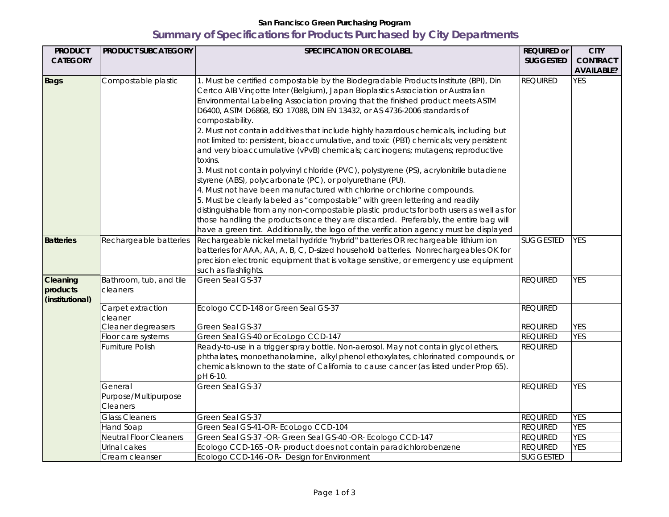## **San Francisco Green Purchasing Program Summary of Specifications for Products Purchased by City Departments**

| <b>PRODUCT</b>                          | <b>PRODUCT SUBCATEGORY</b>          | <b>SPECIFICATION OR ECOLABEL</b>                                                                                                                                                                                                                                                                                                                                                                                                                                                                                                                                                                                                                                                                                                                                                                                                                                                                                                                                                                                                                                                                                                                                                                                                         | <b>REQUIRED or</b> | <b>CITY</b>       |
|-----------------------------------------|-------------------------------------|------------------------------------------------------------------------------------------------------------------------------------------------------------------------------------------------------------------------------------------------------------------------------------------------------------------------------------------------------------------------------------------------------------------------------------------------------------------------------------------------------------------------------------------------------------------------------------------------------------------------------------------------------------------------------------------------------------------------------------------------------------------------------------------------------------------------------------------------------------------------------------------------------------------------------------------------------------------------------------------------------------------------------------------------------------------------------------------------------------------------------------------------------------------------------------------------------------------------------------------|--------------------|-------------------|
| <b>CATEGORY</b>                         |                                     |                                                                                                                                                                                                                                                                                                                                                                                                                                                                                                                                                                                                                                                                                                                                                                                                                                                                                                                                                                                                                                                                                                                                                                                                                                          | <b>SUGGESTED</b>   | <b>CONTRACT</b>   |
|                                         |                                     |                                                                                                                                                                                                                                                                                                                                                                                                                                                                                                                                                                                                                                                                                                                                                                                                                                                                                                                                                                                                                                                                                                                                                                                                                                          |                    | <b>AVAILABLE?</b> |
| <b>Bags</b>                             | Compostable plastic                 | 1. Must be certified compostable by the Biodegradable Products Institute (BPI), Din<br>Certco AIB Vinçotte Inter (Belgium), Japan Bioplastics Association or Australian<br>Environmental Labeling Association proving that the finished product meets ASTM<br>D6400, ASTM D6868, ISO 17088, DIN EN 13432, or AS 4736-2006 standards of<br>compostability.<br>2. Must not contain additives that include highly hazardous chemicals, including but<br>not limited to: persistent, bioaccumulative, and toxic (PBT) chemicals; very persistent<br>and very bioaccumulative (vPvB) chemicals; carcinogens; mutagens; reproductive<br>toxins.<br>3. Must not contain polyvinyl chloride (PVC), polystyrene (PS), acrylonitrile butadiene<br>styrene (ABS), polycarbonate (PC), or polyurethane (PU).<br>4. Must not have been manufactured with chlorine or chlorine compounds.<br>5. Must be clearly labeled as "compostable" with green lettering and readily<br>distinguishable from any non-compostable plastic products for both users as well as for<br>those handling the products once they are discarded. Preferably, the entire bag will<br>have a green tint. Additionally, the logo of the verification agency must be displayed | <b>REQUIRED</b>    | <b>YES</b>        |
| <b>Batteries</b>                        | Rechargeable batteries              | Rechargeable nickel metal hydride "hybrid" batteries OR rechargeable lithium ion<br>batteries for AAA, AA, A, B, C, D-sized household batteries. Nonrechargeables OK for<br>precision electronic equipment that is voltage sensitive, or emergency use equipment<br>such as flashlights.                                                                                                                                                                                                                                                                                                                                                                                                                                                                                                                                                                                                                                                                                                                                                                                                                                                                                                                                                 | <b>SUGGESTED</b>   | <b>YES</b>        |
| Cleaning<br>products<br>(institutional) | Bathroom, tub, and tile<br>cleaners | Green Seal GS-37                                                                                                                                                                                                                                                                                                                                                                                                                                                                                                                                                                                                                                                                                                                                                                                                                                                                                                                                                                                                                                                                                                                                                                                                                         | <b>REQUIRED</b>    | <b>YES</b>        |
|                                         | Carpet extraction<br>cleaner        | Ecologo CCD-148 or Green Seal GS-37                                                                                                                                                                                                                                                                                                                                                                                                                                                                                                                                                                                                                                                                                                                                                                                                                                                                                                                                                                                                                                                                                                                                                                                                      | <b>REQUIRED</b>    |                   |
|                                         | Cleaner degreasers                  | Green Seal GS-37                                                                                                                                                                                                                                                                                                                                                                                                                                                                                                                                                                                                                                                                                                                                                                                                                                                                                                                                                                                                                                                                                                                                                                                                                         | <b>REQUIRED</b>    | <b>YES</b>        |
|                                         | Floor care systems                  | Green Seal GS-40 or EcoLogo CCD-147                                                                                                                                                                                                                                                                                                                                                                                                                                                                                                                                                                                                                                                                                                                                                                                                                                                                                                                                                                                                                                                                                                                                                                                                      | <b>REQUIRED</b>    | <b>YES</b>        |
|                                         | Furniture Polish                    | Ready-to-use in a trigger spray bottle. Non-aerosol. May not contain glycol ethers,<br>phthalates, monoethanolamine, alkyl phenol ethoxylates, chlorinated compounds, or<br>chemicals known to the state of California to cause cancer (as listed under Prop 65).<br>pH 6-10.                                                                                                                                                                                                                                                                                                                                                                                                                                                                                                                                                                                                                                                                                                                                                                                                                                                                                                                                                            | <b>REQUIRED</b>    |                   |
|                                         | General                             | Green Seal GS-37                                                                                                                                                                                                                                                                                                                                                                                                                                                                                                                                                                                                                                                                                                                                                                                                                                                                                                                                                                                                                                                                                                                                                                                                                         | <b>REQUIRED</b>    | <b>YES</b>        |
|                                         | Purpose/Multipurpose<br>Cleaners    |                                                                                                                                                                                                                                                                                                                                                                                                                                                                                                                                                                                                                                                                                                                                                                                                                                                                                                                                                                                                                                                                                                                                                                                                                                          |                    |                   |
|                                         | Glass Cleaners                      | Green Seal GS-37                                                                                                                                                                                                                                                                                                                                                                                                                                                                                                                                                                                                                                                                                                                                                                                                                                                                                                                                                                                                                                                                                                                                                                                                                         | <b>REQUIRED</b>    | <b>YES</b>        |
|                                         | Hand Soap                           | Green Seal GS-41-OR- EcoLogo CCD-104                                                                                                                                                                                                                                                                                                                                                                                                                                                                                                                                                                                                                                                                                                                                                                                                                                                                                                                                                                                                                                                                                                                                                                                                     | <b>REQUIRED</b>    | <b>YES</b>        |
|                                         | Neutral Floor Cleaners              | Green Seal GS-37 -OR- Green Seal GS-40 -OR- Ecologo CCD-147                                                                                                                                                                                                                                                                                                                                                                                                                                                                                                                                                                                                                                                                                                                                                                                                                                                                                                                                                                                                                                                                                                                                                                              | <b>REQUIRED</b>    | <b>YES</b>        |
|                                         | Urinal cakes                        | Ecologo CCD-165 -OR- product does not contain paradichlorobenzene                                                                                                                                                                                                                                                                                                                                                                                                                                                                                                                                                                                                                                                                                                                                                                                                                                                                                                                                                                                                                                                                                                                                                                        | <b>REQUIRED</b>    | <b>YES</b>        |
|                                         | Cream cleanser                      | Ecologo CCD-146 -OR- Design for Environment                                                                                                                                                                                                                                                                                                                                                                                                                                                                                                                                                                                                                                                                                                                                                                                                                                                                                                                                                                                                                                                                                                                                                                                              | <b>SUGGESTED</b>   |                   |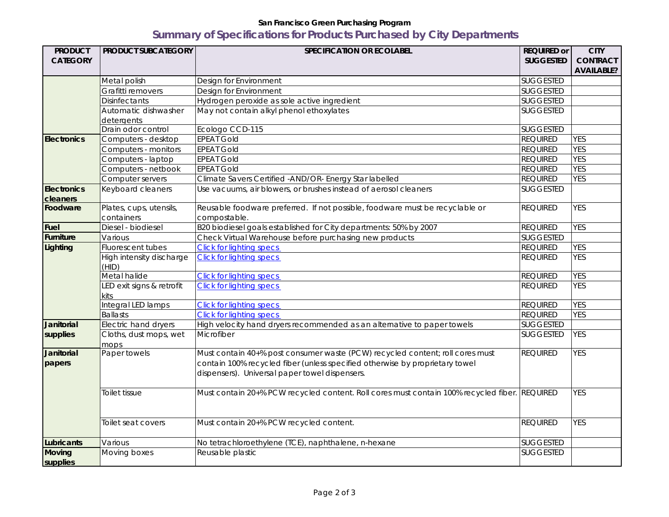## **San Francisco Green Purchasing Program Summary of Specifications for Products Purchased by City Departments**

| <b>PRODUCT</b>              | <b>PRODUCT SUBCATEGORY</b>        | SPECIFICATION OR ECOLABEL                                                                                                                                                                                       | <b>REQUIRED or</b> | <b>CITY</b>       |
|-----------------------------|-----------------------------------|-----------------------------------------------------------------------------------------------------------------------------------------------------------------------------------------------------------------|--------------------|-------------------|
| <b>CATEGORY</b>             |                                   |                                                                                                                                                                                                                 | <b>SUGGESTED</b>   | <b>CONTRACT</b>   |
|                             |                                   |                                                                                                                                                                                                                 |                    | <b>AVAILABLE?</b> |
|                             | Metal polish                      | Design for Environment                                                                                                                                                                                          | <b>SUGGESTED</b>   |                   |
|                             | Grafitti removers                 | Design for Environment                                                                                                                                                                                          | <b>SUGGESTED</b>   |                   |
|                             | <b>Disinfectants</b>              | Hydrogen peroxide as sole active ingredient                                                                                                                                                                     | <b>SUGGESTED</b>   |                   |
|                             | Automatic dishwasher              | May not contain alkyl phenol ethoxylates                                                                                                                                                                        | <b>SUGGESTED</b>   |                   |
|                             | detergents                        |                                                                                                                                                                                                                 |                    |                   |
|                             | Drain odor control                | Ecologo CCD-115                                                                                                                                                                                                 | <b>SUGGESTED</b>   |                   |
| <b>Electronics</b>          | Computers - desktop               | <b>EPEAT Gold</b>                                                                                                                                                                                               | <b>REQUIRED</b>    | <b>YES</b>        |
|                             | Computers - monitors              | <b>EPEAT Gold</b>                                                                                                                                                                                               | <b>REQUIRED</b>    | <b>YES</b>        |
|                             | Computers - laptop                | <b>EPEAT Gold</b>                                                                                                                                                                                               | <b>REQUIRED</b>    | <b>YES</b>        |
|                             | Computers - netbook               | <b>EPEAT Gold</b>                                                                                                                                                                                               | <b>REQUIRED</b>    | <b>YES</b>        |
|                             | Computer servers                  | Climate Savers Certified -AND/OR- Energy Star labelled                                                                                                                                                          | <b>REQUIRED</b>    | <b>YES</b>        |
| <b>Electronics</b>          | Keyboard cleaners                 | Use vacuums, air blowers, or brushes instead of aerosol cleaners                                                                                                                                                | <b>SUGGESTED</b>   |                   |
| cleaners                    |                                   |                                                                                                                                                                                                                 |                    |                   |
| Foodware                    | Plates, cups, utensils,           | Reusable foodware preferred. If not possible, foodware must be recyclable or                                                                                                                                    | <b>REQUIRED</b>    | <b>YES</b>        |
|                             | containers                        | compostable.                                                                                                                                                                                                    |                    |                   |
| <b>Fuel</b>                 | Diesel - biodiesel                | B20 biodiesel goals established for City departments: 50% by 2007                                                                                                                                               | <b>REQUIRED</b>    | <b>YES</b>        |
| <b>Furniture</b>            | Various                           | Check Virtual Warehouse before purchasing new products                                                                                                                                                          | <b>SUGGESTED</b>   |                   |
| Lighting                    | Fluorescent tubes                 | <b>Click for lighting specs</b>                                                                                                                                                                                 | <b>REQUIRED</b>    | <b>YES</b>        |
|                             | High intensity discharge<br>(HID) | <b>Click for lighting specs</b>                                                                                                                                                                                 | <b>REQUIRED</b>    | <b>YES</b>        |
|                             | Metal halide                      | <b>Click for lighting specs</b>                                                                                                                                                                                 | <b>REQUIRED</b>    | <b>YES</b>        |
|                             | LED exit signs & retrofit         | <b>Click for lighting specs</b>                                                                                                                                                                                 | <b>REQUIRED</b>    | <b>YES</b>        |
|                             | kits                              |                                                                                                                                                                                                                 |                    |                   |
|                             | Integral LED lamps                | <b>Click for lighting specs</b>                                                                                                                                                                                 | <b>REQUIRED</b>    | <b>YES</b>        |
|                             | <b>Ballasts</b>                   | <b>Click for lighting specs</b>                                                                                                                                                                                 | <b>REQUIRED</b>    | <b>YES</b>        |
| Janitorial                  | Electric hand dryers              | High velocity hand dryers recommended as an alternative to paper towels                                                                                                                                         | <b>SUGGESTED</b>   |                   |
| supplies                    | Cloths, dust mops, wet<br>mops    | Microfiber                                                                                                                                                                                                      | <b>SUGGESTED</b>   | <b>YES</b>        |
| <b>Janitorial</b><br>papers | Paper towels                      | Must contain 40+% post consumer waste (PCW) recycled content; roll cores must<br>contain 100% recycled fiber (unless specified otherwise by proprietary towel<br>dispensers). Universal paper towel dispensers. | <b>REQUIRED</b>    | <b>YES</b>        |
|                             | Toilet tissue                     | Must contain 20+% PCW recycled content. Roll cores must contain 100% recycled fiber. REQUIRED                                                                                                                   |                    | <b>YES</b>        |
|                             | Toilet seat covers                | Must contain 20+% PCW recycled content.                                                                                                                                                                         | <b>REQUIRED</b>    | <b>YES</b>        |
| Lubricants                  | Various                           | No tetrachloroethylene (TCE), naphthalene, n-hexane                                                                                                                                                             | <b>SUGGESTED</b>   |                   |
| <b>Moving</b>               | Moving boxes                      | Reusable plastic                                                                                                                                                                                                | <b>SUGGESTED</b>   |                   |
| supplies                    |                                   |                                                                                                                                                                                                                 |                    |                   |